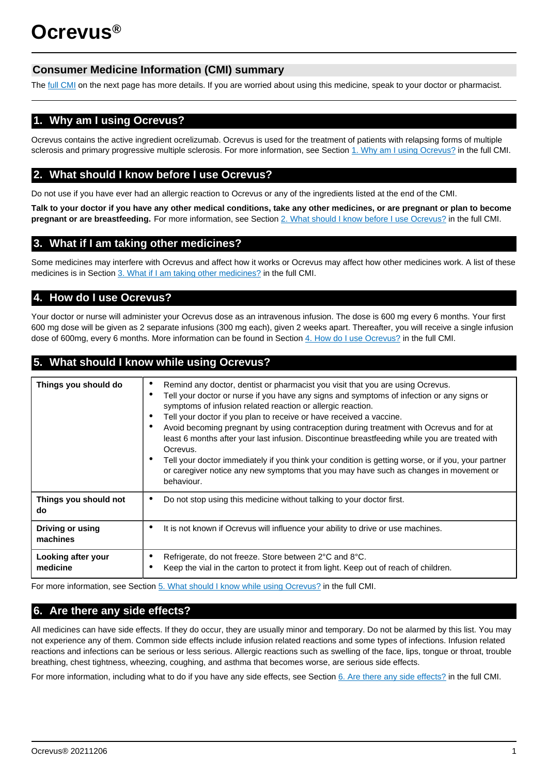# **Consumer Medicine Information (CMI) summary**

The [full CMI](#page-1-0) on the next page has more details. If you are worried about using this medicine, speak to your doctor or pharmacist.

# **1. Why am I using Ocrevus?**

Ocrevus contains the active ingredient ocrelizumab. Ocrevus is used for the treatment of patients with relapsing forms of multiple sclerosis and primary progressive multiple sclerosis. For more information, see Section [1. Why am I using Ocrevus?](#page-1-1) in the full CMI.

# **2. What should I know before I use Ocrevus?**

Do not use if you have ever had an allergic reaction to Ocrevus or any of the ingredients listed at the end of the CMI.

**Talk to your doctor if you have any other medical conditions, take any other medicines, or are pregnant or plan to become pregnant or are breastfeeding.** For more information, see Section [2. What should I know before I use Ocrevus?](#page-1-1) in the full CMI.

# **3. What if I am taking other medicines?**

Some medicines may interfere with Ocrevus and affect how it works or Ocrevus may affect how other medicines work. A list of these medicines is in Section [3. What if I am taking other medicines?](#page-1-2) in the full CMI.

# **4. How do I use Ocrevus?**

Your doctor or nurse will administer your Ocrevus dose as an intravenous infusion. The dose is 600 mg every 6 months. Your first 600 mg dose will be given as 2 separate infusions (300 mg each), given 2 weeks apart. Thereafter, you will receive a single infusion dose of 600mg, every 6 months. More information can be found in Section [4. How do I use Ocrevus?](#page-2-0) in the full CMI.

# **5. What should I know while using Ocrevus?**

| Things you should do           | Remind any doctor, dentist or pharmacist you visit that you are using Ocrevus.<br>٠<br>Tell your doctor or nurse if you have any signs and symptoms of infection or any signs or<br>٠<br>symptoms of infusion related reaction or allergic reaction.<br>Tell your doctor if you plan to receive or have received a vaccine.<br>$\bullet$<br>Avoid becoming pregnant by using contraception during treatment with Ocrevus and for at<br>٠<br>least 6 months after your last infusion. Discontinue breastfeeding while you are treated with<br>Ocrevus.<br>Tell your doctor immediately if you think your condition is getting worse, or if you, your partner<br>or caregiver notice any new symptoms that you may have such as changes in movement or<br>behaviour. |  |
|--------------------------------|--------------------------------------------------------------------------------------------------------------------------------------------------------------------------------------------------------------------------------------------------------------------------------------------------------------------------------------------------------------------------------------------------------------------------------------------------------------------------------------------------------------------------------------------------------------------------------------------------------------------------------------------------------------------------------------------------------------------------------------------------------------------|--|
| Things you should not          | Do not stop using this medicine without talking to your doctor first.                                                                                                                                                                                                                                                                                                                                                                                                                                                                                                                                                                                                                                                                                              |  |
| do                             |                                                                                                                                                                                                                                                                                                                                                                                                                                                                                                                                                                                                                                                                                                                                                                    |  |
| <b>Driving or using</b>        | It is not known if Ocrevus will influence your ability to drive or use machines.                                                                                                                                                                                                                                                                                                                                                                                                                                                                                                                                                                                                                                                                                   |  |
| machines                       | ٠                                                                                                                                                                                                                                                                                                                                                                                                                                                                                                                                                                                                                                                                                                                                                                  |  |
| Looking after your<br>medicine | Refrigerate, do not freeze. Store between 2°C and 8°C.<br>٠<br>Keep the vial in the carton to protect it from light. Keep out of reach of children.                                                                                                                                                                                                                                                                                                                                                                                                                                                                                                                                                                                                                |  |

For more information, see Section [5. What should I know while using Ocrevus?](#page-2-1) in the full CMI.

# **6. Are there any side effects?**

All medicines can have side effects. If they do occur, they are usually minor and temporary. Do not be alarmed by this list. You may not experience any of them. Common side effects include infusion related reactions and some types of infections. Infusion related reactions and infections can be serious or less serious. Allergic reactions such as swelling of the face, lips, tongue or throat, trouble breathing, chest tightness, wheezing, coughing, and asthma that becomes worse, are serious side effects.

For more information, including what to do if you have any side effects, see Section [6. Are there any side effects?](#page-2-2) in the full CMI.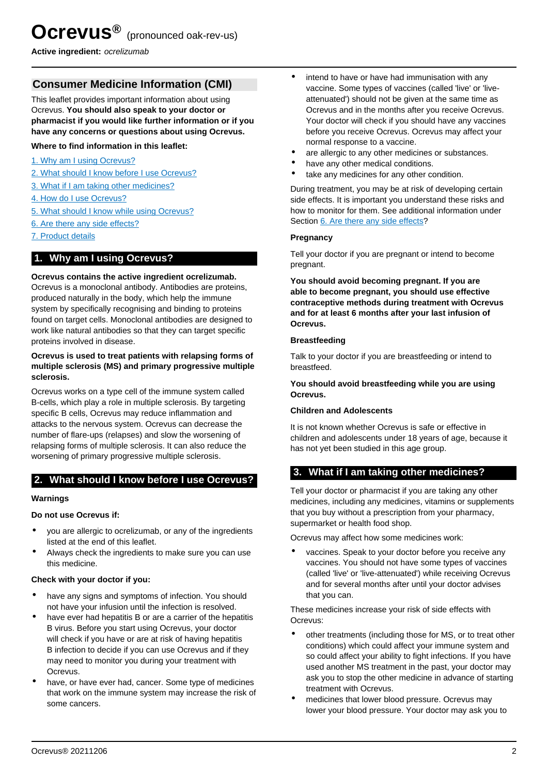<span id="page-1-0"></span>**Active ingredient:** ocrelizumab

# **Consumer Medicine Information (CMI)**

This leaflet provides important information about using Ocrevus. **You should also speak to your doctor or pharmacist if you would like further information or if you have any concerns or questions about using Ocrevus.**

## **Where to find information in this leaflet:**

- [1. Why am I using Ocrevus?](#page-1-1)
- [2. What should I know before I use Ocrevus?](#page-1-1)
- [3. What if I am taking other medicines?](#page-1-2)
- [4. How do I use Ocrevus?](#page-2-0)
- [5. What should I know while using Ocrevus?](#page-2-1)
- [6. Are there any side effects?](#page-2-2)
- [7. Product details](#page-3-0)

## <span id="page-1-1"></span>**1. Why am I using Ocrevus?**

### **Ocrevus contains the active ingredient ocrelizumab.**

Ocrevus is a monoclonal antibody. Antibodies are proteins, produced naturally in the body, which help the immune system by specifically recognising and binding to proteins found on target cells. Monoclonal antibodies are designed to work like natural antibodies so that they can target specific proteins involved in disease.

### **Ocrevus is used to treat patients with relapsing forms of multiple sclerosis (MS) and primary progressive multiple sclerosis.**

Ocrevus works on a type cell of the immune system called B-cells, which play a role in multiple sclerosis. By targeting specific B cells, Ocrevus may reduce inflammation and attacks to the nervous system. Ocrevus can decrease the number of flare-ups (relapses) and slow the worsening of relapsing forms of multiple sclerosis. It can also reduce the worsening of primary progressive multiple sclerosis.

## **2. What should I know before I use Ocrevus?**

## **Warnings**

#### **Do not use Ocrevus if:**

- you are allergic to ocrelizumab, or any of the ingredients listed at the end of this leaflet.
- Always check the ingredients to make sure you can use this medicine.

## **Check with your doctor if you:**

- have any signs and symptoms of infection. You should not have your infusion until the infection is resolved.
- have ever had hepatitis B or are a carrier of the hepatitis B virus. Before you start using Ocrevus, your doctor will check if you have or are at risk of having hepatitis B infection to decide if you can use Ocrevus and if they may need to monitor you during your treatment with Ocrevus.
- have, or have ever had, cancer. Some type of medicines that work on the immune system may increase the risk of some cancers.
- intend to have or have had immunisation with any vaccine. Some types of vaccines (called 'live' or 'liveattenuated') should not be given at the same time as Ocrevus and in the months after you receive Ocrevus. Your doctor will check if you should have any vaccines before you receive Ocrevus. Ocrevus may affect your normal response to a vaccine.
- are allergic to any other medicines or substances.
- have any other medical conditions.
- take any medicines for any other condition.

During treatment, you may be at risk of developing certain side effects. It is important you understand these risks and how to monitor for them. See additional information under Section [6. Are there any side effects](#page-2-2)?

## **Pregnancy**

Tell your doctor if you are pregnant or intend to become pregnant.

**You should avoid becoming pregnant. If you are able to become pregnant, you should use effective contraceptive methods during treatment with Ocrevus and for at least 6 months after your last infusion of Ocrevus.**

### **Breastfeeding**

Talk to your doctor if you are breastfeeding or intend to breastfeed.

**You should avoid breastfeeding while you are using Ocrevus.**

#### **Children and Adolescents**

It is not known whether Ocrevus is safe or effective in children and adolescents under 18 years of age, because it has not yet been studied in this age group.

## <span id="page-1-2"></span>**3. What if I am taking other medicines?**

Tell your doctor or pharmacist if you are taking any other medicines, including any medicines, vitamins or supplements that you buy without a prescription from your pharmacy, supermarket or health food shop.

Ocrevus may affect how some medicines work:

vaccines. Speak to your doctor before you receive any vaccines. You should not have some types of vaccines (called 'live' or 'live-attenuated') while receiving Ocrevus and for several months after until your doctor advises that you can.

These medicines increase your risk of side effects with Ocrevus:

- other treatments (including those for MS, or to treat other conditions) which could affect your immune system and so could affect your ability to fight infections. If you have used another MS treatment in the past, your doctor may ask you to stop the other medicine in advance of starting treatment with Ocrevus.
- medicines that lower blood pressure. Ocrevus may lower your blood pressure. Your doctor may ask you to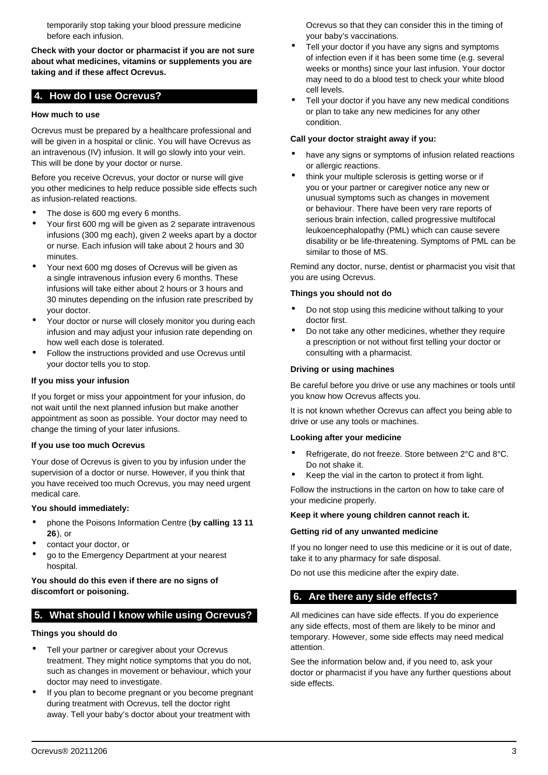temporarily stop taking your blood pressure medicine before each infusion.

**Check with your doctor or pharmacist if you are not sure about what medicines, vitamins or supplements you are taking and if these affect Ocrevus.**

## <span id="page-2-0"></span>**4. How do I use Ocrevus?**

### **How much to use**

Ocrevus must be prepared by a healthcare professional and will be given in a hospital or clinic. You will have Ocrevus as an intravenous (IV) infusion. It will go slowly into your vein. This will be done by your doctor or nurse.

Before you receive Ocrevus, your doctor or nurse will give you other medicines to help reduce possible side effects such as infusion-related reactions.

- The dose is 600 mg every 6 months.
- Your first 600 mg will be given as 2 separate intravenous infusions (300 mg each), given 2 weeks apart by a doctor or nurse. Each infusion will take about 2 hours and 30 minutes.
- Your next 600 mg doses of Ocrevus will be given as a single intravenous infusion every 6 months. These infusions will take either about 2 hours or 3 hours and 30 minutes depending on the infusion rate prescribed by your doctor.
- Your doctor or nurse will closely monitor you during each infusion and may adjust your infusion rate depending on how well each dose is tolerated.
- Follow the instructions provided and use Ocrevus until your doctor tells you to stop.

### **If you miss your infusion**

If you forget or miss your appointment for your infusion, do not wait until the next planned infusion but make another appointment as soon as possible. Your doctor may need to change the timing of your later infusions.

#### **If you use too much Ocrevus**

Your dose of Ocrevus is given to you by infusion under the supervision of a doctor or nurse. However, if you think that you have received too much Ocrevus, you may need urgent medical care.

#### **You should immediately:**

- phone the Poisons Information Centre (**by calling 13 11 26**), or
- contact your doctor, or
- go to the Emergency Department at your nearest hospital.

## **You should do this even if there are no signs of discomfort or poisoning.**

## <span id="page-2-1"></span>**5. What should I know while using Ocrevus?**

#### **Things you should do**

- Tell your partner or caregiver about your Ocrevus treatment. They might notice symptoms that you do not, such as changes in movement or behaviour, which your doctor may need to investigate.
- If you plan to become pregnant or you become pregnant during treatment with Ocrevus, tell the doctor right away. Tell your baby's doctor about your treatment with

Ocrevus so that they can consider this in the timing of your baby's vaccinations.

- Tell your doctor if you have any signs and symptoms of infection even if it has been some time (e.g. several weeks or months) since your last infusion. Your doctor may need to do a blood test to check your white blood cell levels.
- Tell your doctor if you have any new medical conditions or plan to take any new medicines for any other condition.

#### **Call your doctor straight away if you:**

- have any signs or symptoms of infusion related reactions or allergic reactions.
- think your multiple sclerosis is getting worse or if you or your partner or caregiver notice any new or unusual symptoms such as changes in movement or behaviour. There have been very rare reports of serious brain infection, called progressive multifocal leukoencephalopathy (PML) which can cause severe disability or be life-threatening. Symptoms of PML can be similar to those of MS.

Remind any doctor, nurse, dentist or pharmacist you visit that you are using Ocrevus.

### **Things you should not do**

- Do not stop using this medicine without talking to your doctor first.
- Do not take any other medicines, whether they require a prescription or not without first telling your doctor or consulting with a pharmacist.

#### **Driving or using machines**

Be careful before you drive or use any machines or tools until you know how Ocrevus affects you.

It is not known whether Ocrevus can affect you being able to drive or use any tools or machines.

#### **Looking after your medicine**

- Refrigerate, do not freeze. Store between 2°C and 8°C. Do not shake it.
- Keep the vial in the carton to protect it from light.

Follow the instructions in the carton on how to take care of your medicine properly.

#### **Keep it where young children cannot reach it.**

#### **Getting rid of any unwanted medicine**

If you no longer need to use this medicine or it is out of date, take it to any pharmacy for safe disposal.

Do not use this medicine after the expiry date.

## <span id="page-2-2"></span>**6. Are there any side effects?**

All medicines can have side effects. If you do experience any side effects, most of them are likely to be minor and temporary. However, some side effects may need medical attention.

See the information below and, if you need to, ask your doctor or pharmacist if you have any further questions about side effects.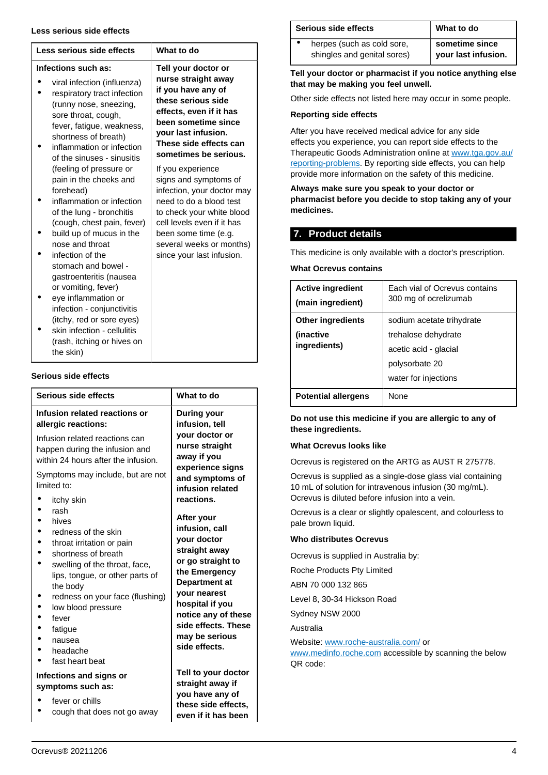#### **Less serious side effects**

| Less serious side effects                                                                                                                                                                                                                                                                                                                                                                                                                                     | What to do                                                                                                                                                                                                                                      |
|---------------------------------------------------------------------------------------------------------------------------------------------------------------------------------------------------------------------------------------------------------------------------------------------------------------------------------------------------------------------------------------------------------------------------------------------------------------|-------------------------------------------------------------------------------------------------------------------------------------------------------------------------------------------------------------------------------------------------|
| Infections such as:<br>viral infection (influenza)<br>respiratory tract infection<br>(runny nose, sneezing,<br>sore throat, cough,<br>fever, fatigue, weakness,<br>shortness of breath)<br>inflammation or infection<br>of the sinuses - sinusitis                                                                                                                                                                                                            | Tell your doctor or<br>nurse straight away<br>if you have any of<br>these serious side<br>effects, even if it has<br>been sometime since<br>your last infusion.<br>These side effects can<br>sometimes be serious.                              |
| (feeling of pressure or<br>pain in the cheeks and<br>forehead)<br>inflammation or infection<br>of the lung - bronchitis<br>(cough, chest pain, fever)<br>build up of mucus in the<br>nose and throat<br>infection of the<br>stomach and bowel -<br>gastroenteritis (nausea<br>or vomiting, fever)<br>eye inflammation or<br>infection - conjunctivitis<br>(itchy, red or sore eyes)<br>skin infection - cellulitis<br>(rash, itching or hives on<br>the skin) | If you experience<br>signs and symptoms of<br>infection, your doctor may<br>need to do a blood test<br>to check your white blood<br>cell levels even if it has<br>been some time (e.g.<br>several weeks or months)<br>since your last infusion. |

## **Serious side effects**

| Serious side effects                                                                                                                                                                                                                                                        | What to do                                                                                                                                                                                                                              |
|-----------------------------------------------------------------------------------------------------------------------------------------------------------------------------------------------------------------------------------------------------------------------------|-----------------------------------------------------------------------------------------------------------------------------------------------------------------------------------------------------------------------------------------|
| Infusion related reactions or<br>allergic reactions:<br>Infusion related reactions can<br>happen during the infusion and<br>within 24 hours after the infusion.<br>Symptoms may include, but are not<br>limited to:<br>itchy skin                                           | During your<br>infusion, tell<br>your doctor or<br>nurse straight<br>away if you<br>experience signs<br>and symptoms of<br>infusion related<br>reactions.                                                                               |
| rash<br>hives<br>redness of the skin<br>throat irritation or pain<br>shortness of breath<br>swelling of the throat, face,<br>lips, tongue, or other parts of<br>the body<br>redness on your face (flushing)<br>low blood pressure<br>fever<br>fatique<br>nausea<br>headache | After your<br>infusion, call<br>your doctor<br>straight away<br>or go straight to<br>the Emergency<br>Department at<br>your nearest<br>hospital if you<br>notice any of these<br>side effects. These<br>may be serious<br>side effects. |
| fast heart beat<br>Infections and signs or<br>symptoms such as:<br>fever or chills<br>cough that does not go away                                                                                                                                                           | Tell to your doctor<br>straight away if<br>you have any of<br>these side effects,<br>even if it has been                                                                                                                                |

| Serious side effects |                                                           | What to do                            |
|----------------------|-----------------------------------------------------------|---------------------------------------|
|                      | herpes (such as cold sore,<br>shingles and genital sores) | sometime since<br>your last infusion. |

## **Tell your doctor or pharmacist if you notice anything else that may be making you feel unwell.**

Other side effects not listed here may occur in some people.

### **Reporting side effects**

After you have received medical advice for any side effects you experience, you can report side effects to the Therapeutic Goods Administration online at [www.tga.gov.au/](http://www.tga.gov.au/reporting-problems) [reporting-problems](http://www.tga.gov.au/reporting-problems). By reporting side effects, you can help provide more information on the safety of this medicine.

**Always make sure you speak to your doctor or pharmacist before you decide to stop taking any of your medicines.**

## <span id="page-3-0"></span>**7. Product details**

This medicine is only available with a doctor's prescription.

**What Ocrevus contains**

| <b>Active ingredient</b><br>(main ingredient) | Each vial of Ocrevus contains<br>300 mg of ocrelizumab |
|-----------------------------------------------|--------------------------------------------------------|
| <b>Other ingredients</b>                      | sodium acetate trihydrate                              |
| (inactive)                                    | trehalose dehydrate                                    |
| ingredients)                                  | acetic acid - glacial                                  |
|                                               | polysorbate 20                                         |
|                                               | water for injections                                   |
| <b>Potential allergens</b>                    | <b>None</b>                                            |

**Do not use this medicine if you are allergic to any of these ingredients.**

## **What Ocrevus looks like**

Ocrevus is registered on the ARTG as AUST R 275778.

Ocrevus is supplied as a single-dose glass vial containing 10 mL of solution for intravenous infusion (30 mg/mL). Ocrevus is diluted before infusion into a vein.

Ocrevus is a clear or slightly opalescent, and colourless to pale brown liquid.

## **Who distributes Ocrevus**

Ocrevus is supplied in Australia by:

Roche Products Pty Limited

ABN 70 000 132 865

Level 8, 30-34 Hickson Road

Sydney NSW 2000

Australia

Website: [www.roche-australia.com/](http://www.roche-australia.com/) or

[www.medinfo.roche.com](http://www.medinfo.roche.com) accessible by scanning the below QR code: